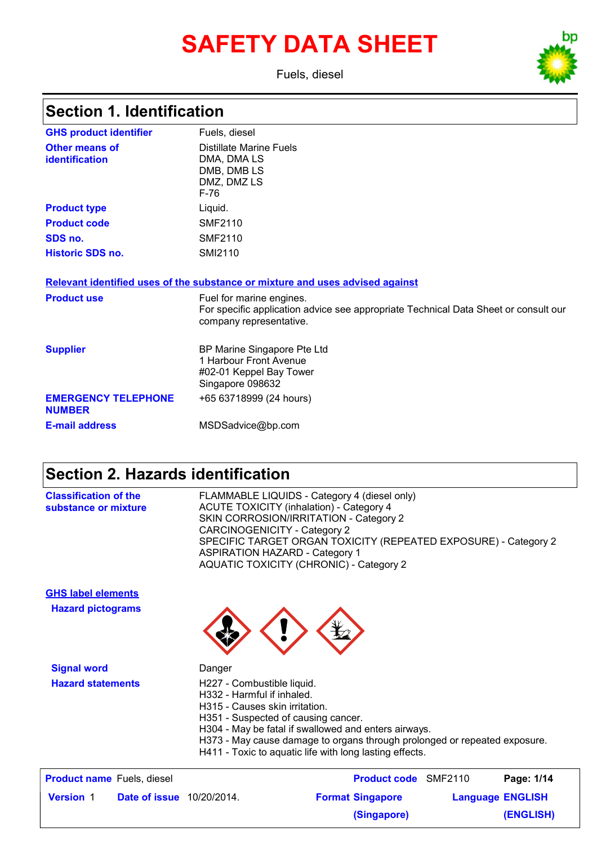# **SAFETY DATA SHEET**

Fuels, diesel



# **Section 1. Identification**

| <b>GHS product identifier</b>               | Fuels, diesel                                                                                                                              |
|---------------------------------------------|--------------------------------------------------------------------------------------------------------------------------------------------|
| Other means of<br>identification            | Distillate Marine Fuels<br>DMA, DMA LS<br>DMB, DMB LS<br>DMZ, DMZ LS<br>$F-76$                                                             |
| <b>Product type</b>                         | Liquid.                                                                                                                                    |
| <b>Product code</b>                         | <b>SMF2110</b>                                                                                                                             |
| SDS no.                                     | <b>SMF2110</b>                                                                                                                             |
| <b>Historic SDS no.</b>                     | <b>SMI2110</b>                                                                                                                             |
|                                             | Relevant identified uses of the substance or mixture and uses advised against                                                              |
| <b>Product use</b>                          | Fuel for marine engines.<br>For specific application advice see appropriate Technical Data Sheet or consult our<br>company representative. |
| <b>Supplier</b>                             | BP Marine Singapore Pte Ltd<br>1 Harbour Front Avenue<br>#02-01 Keppel Bay Tower<br>Singapore 098632                                       |
| <b>EMERGENCY TELEPHONE</b><br><b>NUMBER</b> | +65 63718999 (24 hours)                                                                                                                    |
| <b>E-mail address</b>                       | MSDSadvice@bp.com                                                                                                                          |

## **Section 2. Hazards identification**

| <b>Classification of the</b><br>substance or mixture |                                   | CARCINOGENICITY - Category 2<br><b>ASPIRATION HAZARD - Category 1</b>                                                             | FLAMMABLE LIQUIDS - Category 4 (diesel only)<br><b>ACUTE TOXICITY (inhalation) - Category 4</b><br>SKIN CORROSION/IRRITATION - Category 2<br>SPECIFIC TARGET ORGAN TOXICITY (REPEATED EXPOSURE) - Category 2<br><b>AQUATIC TOXICITY (CHRONIC) - Category 2</b> |                         |
|------------------------------------------------------|-----------------------------------|-----------------------------------------------------------------------------------------------------------------------------------|----------------------------------------------------------------------------------------------------------------------------------------------------------------------------------------------------------------------------------------------------------------|-------------------------|
| <b>GHS label elements</b>                            |                                   |                                                                                                                                   |                                                                                                                                                                                                                                                                |                         |
| <b>Hazard pictograms</b>                             |                                   |                                                                                                                                   |                                                                                                                                                                                                                                                                |                         |
| <b>Signal word</b>                                   |                                   | Danger                                                                                                                            |                                                                                                                                                                                                                                                                |                         |
| <b>Hazard statements</b>                             |                                   | H227 - Combustible liquid.<br>H332 - Harmful if inhaled.<br>H315 - Causes skin irritation.<br>H351 - Suspected of causing cancer. | H304 - May be fatal if swallowed and enters airways.<br>H373 - May cause damage to organs through prolonged or repeated exposure.<br>H411 - Toxic to aquatic life with long lasting effects.                                                                   |                         |
|                                                      | <b>Product name</b> Fuels, diesel |                                                                                                                                   | <b>Product code</b> SMF2110                                                                                                                                                                                                                                    | Page: 1/14              |
| <b>Version 1</b>                                     | <b>Date of issue</b> 10/20/2014.  |                                                                                                                                   | <b>Format Singapore</b>                                                                                                                                                                                                                                        | <b>Language ENGLISH</b> |
|                                                      |                                   |                                                                                                                                   | (Singapore)                                                                                                                                                                                                                                                    | (ENGLISH)               |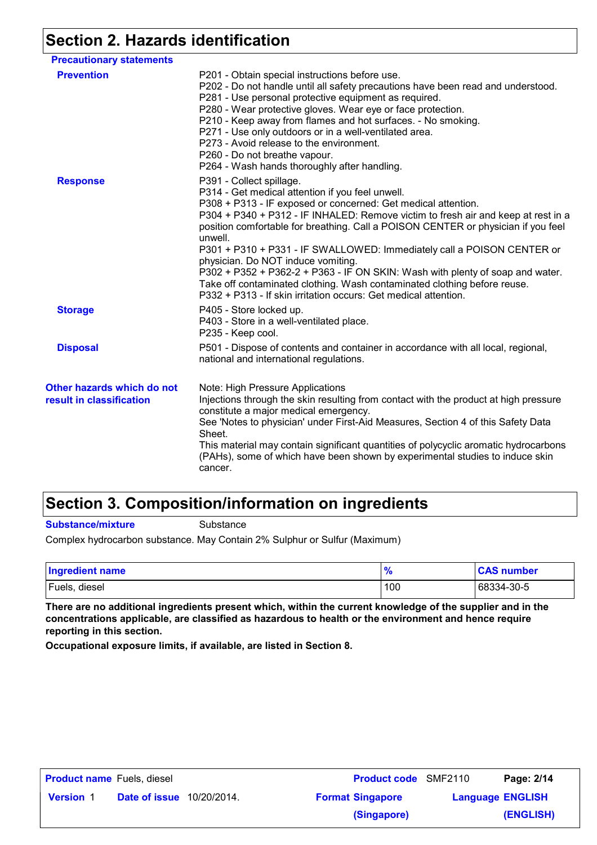### **Section 2. Hazards identification**

| <b>Precautionary statements</b>                        |                                                                                                                                                                                                                                                                                                                                                                                                                                                                                                                                                                                                                                                                                    |
|--------------------------------------------------------|------------------------------------------------------------------------------------------------------------------------------------------------------------------------------------------------------------------------------------------------------------------------------------------------------------------------------------------------------------------------------------------------------------------------------------------------------------------------------------------------------------------------------------------------------------------------------------------------------------------------------------------------------------------------------------|
| <b>Prevention</b>                                      | P201 - Obtain special instructions before use.<br>P202 - Do not handle until all safety precautions have been read and understood.<br>P281 - Use personal protective equipment as required.<br>P280 - Wear protective gloves. Wear eye or face protection.<br>P210 - Keep away from flames and hot surfaces. - No smoking.<br>P271 - Use only outdoors or in a well-ventilated area.<br>P273 - Avoid release to the environment.<br>P260 - Do not breathe vapour.<br>P264 - Wash hands thoroughly after handling.                                                                                                                                                                  |
| <b>Response</b>                                        | P391 - Collect spillage.<br>P314 - Get medical attention if you feel unwell.<br>P308 + P313 - IF exposed or concerned: Get medical attention.<br>P304 + P340 + P312 - IF INHALED: Remove victim to fresh air and keep at rest in a<br>position comfortable for breathing. Call a POISON CENTER or physician if you feel<br>unwell.<br>P301 + P310 + P331 - IF SWALLOWED: Immediately call a POISON CENTER or<br>physician. Do NOT induce vomiting.<br>P302 + P352 + P362-2 + P363 - IF ON SKIN: Wash with plenty of soap and water.<br>Take off contaminated clothing. Wash contaminated clothing before reuse.<br>P332 + P313 - If skin irritation occurs: Get medical attention. |
| <b>Storage</b>                                         | P405 - Store locked up.<br>P403 - Store in a well-ventilated place.<br>P235 - Keep cool.                                                                                                                                                                                                                                                                                                                                                                                                                                                                                                                                                                                           |
| <b>Disposal</b>                                        | P501 - Dispose of contents and container in accordance with all local, regional,<br>national and international regulations.                                                                                                                                                                                                                                                                                                                                                                                                                                                                                                                                                        |
| Other hazards which do not<br>result in classification | Note: High Pressure Applications<br>Injections through the skin resulting from contact with the product at high pressure<br>constitute a major medical emergency.<br>See 'Notes to physician' under First-Aid Measures, Section 4 of this Safety Data<br>Sheet.<br>This material may contain significant quantities of polycyclic aromatic hydrocarbons<br>(PAHs), some of which have been shown by experimental studies to induce skin<br>cancer.                                                                                                                                                                                                                                 |

#### **Section 3. Composition/information on ingredients**

**Substance/mixture**

**Substance** 

Complex hydrocarbon substance. May Contain 2% Sulphur or Sulfur (Maximum)

| <b>Ingredient name</b> | 70  | <b>CAS number</b> |
|------------------------|-----|-------------------|
| Fuels, diesel          | 100 | 68334-30-5        |

**There are no additional ingredients present which, within the current knowledge of the supplier and in the concentrations applicable, are classified as hazardous to health or the environment and hence require reporting in this section.**

**Occupational exposure limits, if available, are listed in Section 8.**

| <b>Product name</b> Fuels, diesel |               |             | <b>Product code</b> SMF2110                        |  | Page: 2/14 |
|-----------------------------------|---------------|-------------|----------------------------------------------------|--|------------|
| <b>Version 1</b>                  | Date of issue | 10/20/2014. | <b>Format Singapore</b><br><b>Language ENGLISH</b> |  |            |
|                                   |               |             | (Singapore)                                        |  | (ENGLISH)  |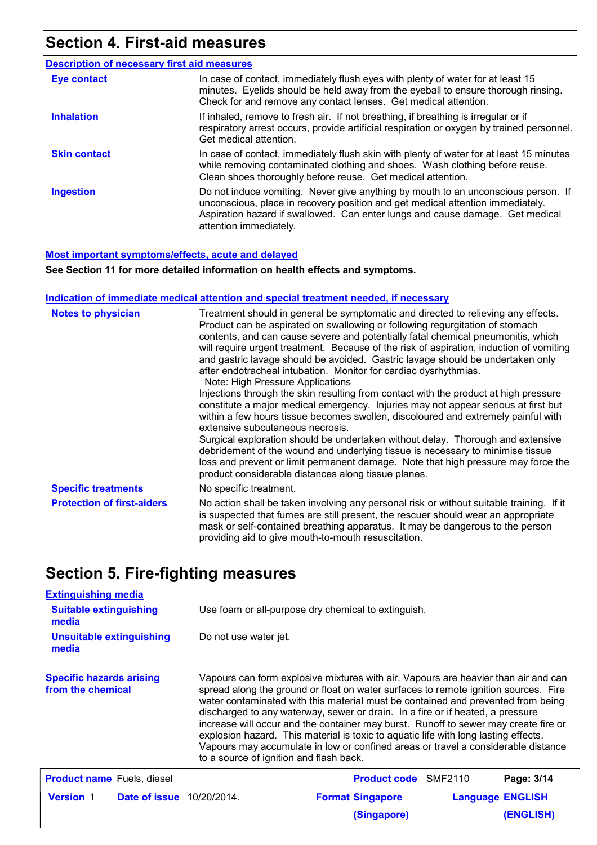### **Section 4. First-aid measures**

#### Do not induce vomiting. Never give anything by mouth to an unconscious person. If unconscious, place in recovery position and get medical attention immediately. Aspiration hazard if swallowed. Can enter lungs and cause damage. Get medical attention immediately. In case of contact, immediately flush eyes with plenty of water for at least 15 minutes. Eyelids should be held away from the eyeball to ensure thorough rinsing. Check for and remove any contact lenses. Get medical attention. In case of contact, immediately flush skin with plenty of water for at least 15 minutes while removing contaminated clothing and shoes. Wash clothing before reuse. Clean shoes thoroughly before reuse. Get medical attention. If inhaled, remove to fresh air. If not breathing, if breathing is irregular or if respiratory arrest occurs, provide artificial respiration or oxygen by trained personnel. Get medical attention. **Eye contact Skin contact Inhalation Ingestion Description of necessary first aid measures**

#### **Most important symptoms/effects, acute and delayed**

**See Section 11 for more detailed information on health effects and symptoms.**

#### **Indication of immediate medical attention and special treatment needed, if necessary**

| <b>Notes to physician</b>         | Treatment should in general be symptomatic and directed to relieving any effects.<br>Product can be aspirated on swallowing or following regurgitation of stomach<br>contents, and can cause severe and potentially fatal chemical pneumonitis, which<br>will require urgent treatment. Because of the risk of aspiration, induction of vomiting<br>and gastric lavage should be avoided. Gastric lavage should be undertaken only<br>after endotracheal intubation. Monitor for cardiac dysrhythmias.<br>Note: High Pressure Applications<br>Injections through the skin resulting from contact with the product at high pressure<br>constitute a major medical emergency. Injuries may not appear serious at first but<br>within a few hours tissue becomes swollen, discoloured and extremely painful with<br>extensive subcutaneous necrosis.<br>Surgical exploration should be undertaken without delay. Thorough and extensive<br>debridement of the wound and underlying tissue is necessary to minimise tissue<br>loss and prevent or limit permanent damage. Note that high pressure may force the<br>product considerable distances along tissue planes. |
|-----------------------------------|--------------------------------------------------------------------------------------------------------------------------------------------------------------------------------------------------------------------------------------------------------------------------------------------------------------------------------------------------------------------------------------------------------------------------------------------------------------------------------------------------------------------------------------------------------------------------------------------------------------------------------------------------------------------------------------------------------------------------------------------------------------------------------------------------------------------------------------------------------------------------------------------------------------------------------------------------------------------------------------------------------------------------------------------------------------------------------------------------------------------------------------------------------------------|
| <b>Specific treatments</b>        | No specific treatment.                                                                                                                                                                                                                                                                                                                                                                                                                                                                                                                                                                                                                                                                                                                                                                                                                                                                                                                                                                                                                                                                                                                                             |
| <b>Protection of first-aiders</b> | No action shall be taken involving any personal risk or without suitable training. If it<br>is suspected that fumes are still present, the rescuer should wear an appropriate<br>mask or self-contained breathing apparatus. It may be dangerous to the person<br>providing aid to give mouth-to-mouth resuscitation.                                                                                                                                                                                                                                                                                                                                                                                                                                                                                                                                                                                                                                                                                                                                                                                                                                              |

#### **Section 5. Fire-fighting measures**

| <b>Extinguishing media</b>                                                                                                                                                                                                                                                                                                                                                                                                                                                                                                                                                                                                                                                                                            |                                                     |                             |                         |                  |
|-----------------------------------------------------------------------------------------------------------------------------------------------------------------------------------------------------------------------------------------------------------------------------------------------------------------------------------------------------------------------------------------------------------------------------------------------------------------------------------------------------------------------------------------------------------------------------------------------------------------------------------------------------------------------------------------------------------------------|-----------------------------------------------------|-----------------------------|-------------------------|------------------|
| <b>Suitable extinguishing</b><br>media                                                                                                                                                                                                                                                                                                                                                                                                                                                                                                                                                                                                                                                                                | Use foam or all-purpose dry chemical to extinguish. |                             |                         |                  |
| <b>Unsuitable extinguishing</b><br>media                                                                                                                                                                                                                                                                                                                                                                                                                                                                                                                                                                                                                                                                              | Do not use water jet.                               |                             |                         |                  |
| <b>Specific hazards arising</b><br>Vapours can form explosive mixtures with air. Vapours are heavier than air and can<br>spread along the ground or float on water surfaces to remote ignition sources. Fire<br>from the chemical<br>water contaminated with this material must be contained and prevented from being<br>discharged to any waterway, sewer or drain. In a fire or if heated, a pressure<br>increase will occur and the container may burst. Runoff to sewer may create fire or<br>explosion hazard. This material is toxic to aquatic life with long lasting effects.<br>Vapours may accumulate in low or confined areas or travel a considerable distance<br>to a source of ignition and flash back. |                                                     |                             |                         |                  |
| <b>Product name</b> Fuels, diesel                                                                                                                                                                                                                                                                                                                                                                                                                                                                                                                                                                                                                                                                                     |                                                     | <b>Product code</b> SMF2110 |                         | Page: 3/14       |
| <b>Version 1</b><br><b>Date of issue</b> 10/20/2014.                                                                                                                                                                                                                                                                                                                                                                                                                                                                                                                                                                                                                                                                  |                                                     | <b>Format Singapore</b>     | <b>Language ENGLISH</b> |                  |
|                                                                                                                                                                                                                                                                                                                                                                                                                                                                                                                                                                                                                                                                                                                       |                                                     | (Singapore)                 |                         | <b>(ENGLISH)</b> |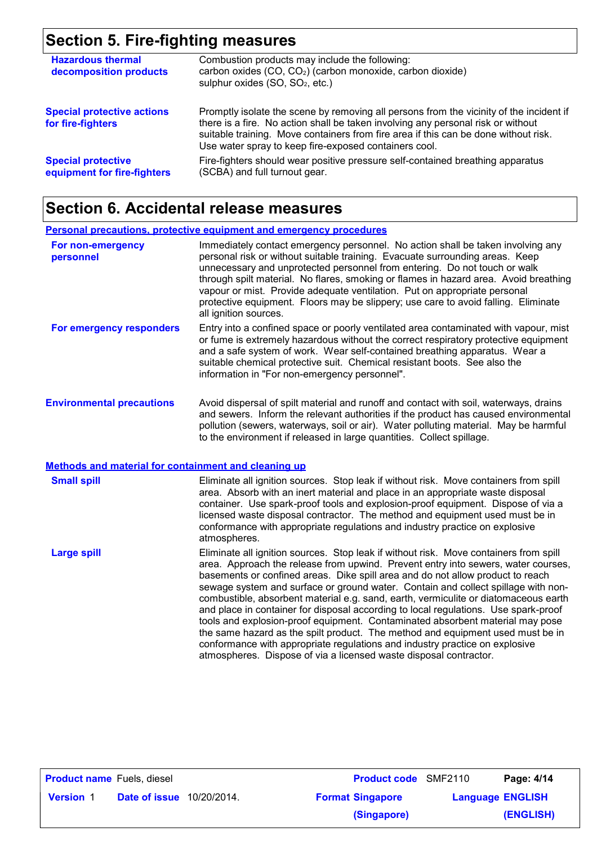# **Section 5. Fire-fighting measures**

| <b>Hazardous thermal</b><br>decomposition products       | Combustion products may include the following:<br>carbon oxides (CO, CO <sub>2</sub> ) (carbon monoxide, carbon dioxide)<br>sulphur oxides (SO, SO <sub>2</sub> , etc.)                                                                                                                                                     |
|----------------------------------------------------------|-----------------------------------------------------------------------------------------------------------------------------------------------------------------------------------------------------------------------------------------------------------------------------------------------------------------------------|
| <b>Special protective actions</b><br>for fire-fighters   | Promptly isolate the scene by removing all persons from the vicinity of the incident if<br>there is a fire. No action shall be taken involving any personal risk or without<br>suitable training. Move containers from fire area if this can be done without risk.<br>Use water spray to keep fire-exposed containers cool. |
| <b>Special protective</b><br>equipment for fire-fighters | Fire-fighters should wear positive pressure self-contained breathing apparatus<br>(SCBA) and full turnout gear.                                                                                                                                                                                                             |

### **Section 6. Accidental release measures**

|                                                             | <b>Personal precautions, protective equipment and emergency procedures</b>                                                                                                                                                                                                                                                                                                                                                                                                                                                                                                                                                                                                                                                                                                        |
|-------------------------------------------------------------|-----------------------------------------------------------------------------------------------------------------------------------------------------------------------------------------------------------------------------------------------------------------------------------------------------------------------------------------------------------------------------------------------------------------------------------------------------------------------------------------------------------------------------------------------------------------------------------------------------------------------------------------------------------------------------------------------------------------------------------------------------------------------------------|
| For non-emergency<br>personnel                              | Immediately contact emergency personnel. No action shall be taken involving any<br>personal risk or without suitable training. Evacuate surrounding areas. Keep<br>unnecessary and unprotected personnel from entering. Do not touch or walk<br>through spilt material. No flares, smoking or flames in hazard area. Avoid breathing<br>vapour or mist. Provide adequate ventilation. Put on appropriate personal<br>protective equipment. Floors may be slippery; use care to avoid falling. Eliminate<br>all ignition sources.                                                                                                                                                                                                                                                  |
| For emergency responders                                    | Entry into a confined space or poorly ventilated area contaminated with vapour, mist<br>or fume is extremely hazardous without the correct respiratory protective equipment<br>and a safe system of work. Wear self-contained breathing apparatus. Wear a<br>suitable chemical protective suit. Chemical resistant boots. See also the<br>information in "For non-emergency personnel".                                                                                                                                                                                                                                                                                                                                                                                           |
| <b>Environmental precautions</b>                            | Avoid dispersal of spilt material and runoff and contact with soil, waterways, drains<br>and sewers. Inform the relevant authorities if the product has caused environmental<br>pollution (sewers, waterways, soil or air). Water polluting material. May be harmful<br>to the environment if released in large quantities. Collect spillage.                                                                                                                                                                                                                                                                                                                                                                                                                                     |
| <b>Methods and material for containment and cleaning up</b> |                                                                                                                                                                                                                                                                                                                                                                                                                                                                                                                                                                                                                                                                                                                                                                                   |
| <b>Small spill</b>                                          | Eliminate all ignition sources. Stop leak if without risk. Move containers from spill<br>area. Absorb with an inert material and place in an appropriate waste disposal<br>container. Use spark-proof tools and explosion-proof equipment. Dispose of via a<br>licensed waste disposal contractor. The method and equipment used must be in<br>conformance with appropriate regulations and industry practice on explosive<br>atmospheres.                                                                                                                                                                                                                                                                                                                                        |
| <b>Large spill</b>                                          | Eliminate all ignition sources. Stop leak if without risk. Move containers from spill<br>area. Approach the release from upwind. Prevent entry into sewers, water courses,<br>basements or confined areas. Dike spill area and do not allow product to reach<br>sewage system and surface or ground water. Contain and collect spillage with non-<br>combustible, absorbent material e.g. sand, earth, vermiculite or diatomaceous earth<br>and place in container for disposal according to local regulations. Use spark-proof<br>tools and explosion-proof equipment. Contaminated absorbent material may pose<br>the same hazard as the spilt product. The method and equipment used must be in<br>conformance with appropriate regulations and industry practice on explosive |

| <b>Product name</b> Fuels, diesel                    |  | <b>Product code</b> SMF2110 | Page: 4/14              |           |
|------------------------------------------------------|--|-----------------------------|-------------------------|-----------|
| <b>Version 1</b><br><b>Date of issue</b> 10/20/2014. |  | <b>Format Singapore</b>     | <b>Language ENGLISH</b> |           |
|                                                      |  |                             | (Singapore)             | (ENGLISH) |

atmospheres. Dispose of via a licensed waste disposal contractor.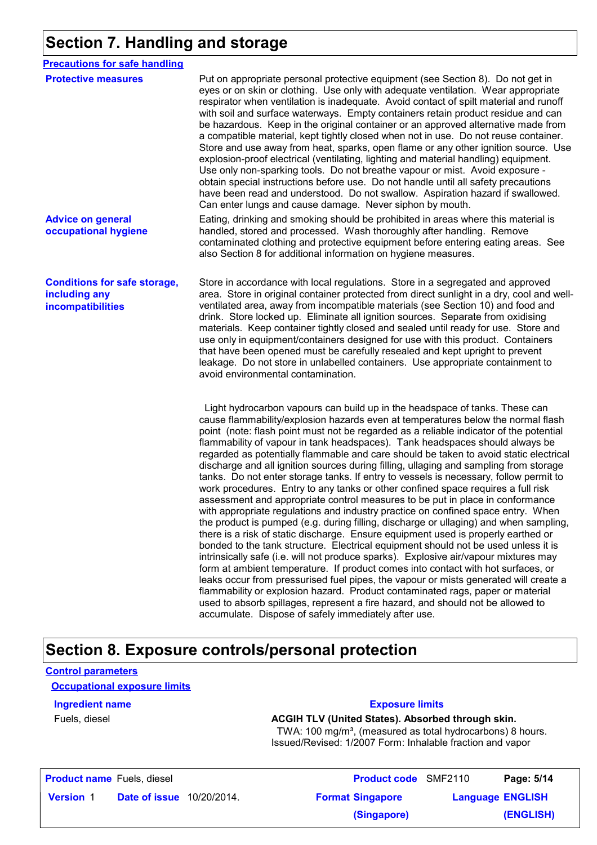### **Section 7. Handling and storage**

| <b>Precautions for safe handling</b>                                      |                                                                                                                                                                                                                                                                                                                                                                                                                                                                                                                                                                                                                                                                                                                                                                                                                                                                                                                                                                                                                                                                                                                                                                                                                                                                                                                                                                                                                                                                                                                                                                                                                                                    |
|---------------------------------------------------------------------------|----------------------------------------------------------------------------------------------------------------------------------------------------------------------------------------------------------------------------------------------------------------------------------------------------------------------------------------------------------------------------------------------------------------------------------------------------------------------------------------------------------------------------------------------------------------------------------------------------------------------------------------------------------------------------------------------------------------------------------------------------------------------------------------------------------------------------------------------------------------------------------------------------------------------------------------------------------------------------------------------------------------------------------------------------------------------------------------------------------------------------------------------------------------------------------------------------------------------------------------------------------------------------------------------------------------------------------------------------------------------------------------------------------------------------------------------------------------------------------------------------------------------------------------------------------------------------------------------------------------------------------------------------|
| <b>Protective measures</b>                                                | Put on appropriate personal protective equipment (see Section 8). Do not get in<br>eyes or on skin or clothing. Use only with adequate ventilation. Wear appropriate<br>respirator when ventilation is inadequate. Avoid contact of spilt material and runoff<br>with soil and surface waterways. Empty containers retain product residue and can<br>be hazardous. Keep in the original container or an approved alternative made from<br>a compatible material, kept tightly closed when not in use. Do not reuse container.<br>Store and use away from heat, sparks, open flame or any other ignition source. Use<br>explosion-proof electrical (ventilating, lighting and material handling) equipment.<br>Use only non-sparking tools. Do not breathe vapour or mist. Avoid exposure -<br>obtain special instructions before use. Do not handle until all safety precautions<br>have been read and understood. Do not swallow. Aspiration hazard if swallowed.<br>Can enter lungs and cause damage. Never siphon by mouth.                                                                                                                                                                                                                                                                                                                                                                                                                                                                                                                                                                                                                     |
| <b>Advice on general</b><br>occupational hygiene                          | Eating, drinking and smoking should be prohibited in areas where this material is<br>handled, stored and processed. Wash thoroughly after handling. Remove<br>contaminated clothing and protective equipment before entering eating areas. See<br>also Section 8 for additional information on hygiene measures.                                                                                                                                                                                                                                                                                                                                                                                                                                                                                                                                                                                                                                                                                                                                                                                                                                                                                                                                                                                                                                                                                                                                                                                                                                                                                                                                   |
| <b>Conditions for safe storage,</b><br>including any<br>incompatibilities | Store in accordance with local regulations. Store in a segregated and approved<br>area. Store in original container protected from direct sunlight in a dry, cool and well-<br>ventilated area, away from incompatible materials (see Section 10) and food and<br>drink. Store locked up. Eliminate all ignition sources. Separate from oxidising<br>materials. Keep container tightly closed and sealed until ready for use. Store and<br>use only in equipment/containers designed for use with this product. Containers<br>that have been opened must be carefully resealed and kept upright to prevent<br>leakage. Do not store in unlabelled containers. Use appropriate containment to<br>avoid environmental contamination.                                                                                                                                                                                                                                                                                                                                                                                                                                                                                                                                                                                                                                                                                                                                                                                                                                                                                                                 |
|                                                                           | Light hydrocarbon vapours can build up in the headspace of tanks. These can<br>cause flammability/explosion hazards even at temperatures below the normal flash<br>point (note: flash point must not be regarded as a reliable indicator of the potential<br>flammability of vapour in tank headspaces). Tank headspaces should always be<br>regarded as potentially flammable and care should be taken to avoid static electrical<br>discharge and all ignition sources during filling, ullaging and sampling from storage<br>tanks. Do not enter storage tanks. If entry to vessels is necessary, follow permit to<br>work procedures. Entry to any tanks or other confined space requires a full risk<br>assessment and appropriate control measures to be put in place in conformance<br>with appropriate regulations and industry practice on confined space entry. When<br>the product is pumped (e.g. during filling, discharge or ullaging) and when sampling,<br>there is a risk of static discharge. Ensure equipment used is properly earthed or<br>bonded to the tank structure. Electrical equipment should not be used unless it is<br>intrinsically safe (i.e. will not produce sparks). Explosive air/vapour mixtures may<br>form at ambient temperature. If product comes into contact with hot surfaces, or<br>leaks occur from pressurised fuel pipes, the vapour or mists generated will create a<br>flammability or explosion hazard. Product contaminated rags, paper or material<br>used to absorb spillages, represent a fire hazard, and should not be allowed to<br>accumulate. Dispose of safely immediately after use. |

### **Section 8. Exposure controls/personal protection**

| <b>Control parameters</b><br><b>Occupational exposure limits</b> |                                                                                                                                                                                          |  |                         |
|------------------------------------------------------------------|------------------------------------------------------------------------------------------------------------------------------------------------------------------------------------------|--|-------------------------|
| <b>Ingredient name</b>                                           | <b>Exposure limits</b>                                                                                                                                                                   |  |                         |
| Fuels, diesel                                                    | ACGIH TLV (United States). Absorbed through skin.<br>TWA: 100 mg/m <sup>3</sup> , (measured as total hydrocarbons) 8 hours.<br>Issued/Revised: 1/2007 Form: Inhalable fraction and vapor |  |                         |
| <b>Product name</b> Fuels, diesel                                | <b>Product code</b> SMF2110                                                                                                                                                              |  | Page: 5/14              |
| <b>Version 1</b><br><b>Date of issue</b> 10/20/2014.             | <b>Format Singapore</b>                                                                                                                                                                  |  | <b>Language ENGLISH</b> |
|                                                                  | (Singapore)                                                                                                                                                                              |  | <b>(ENGLISH)</b>        |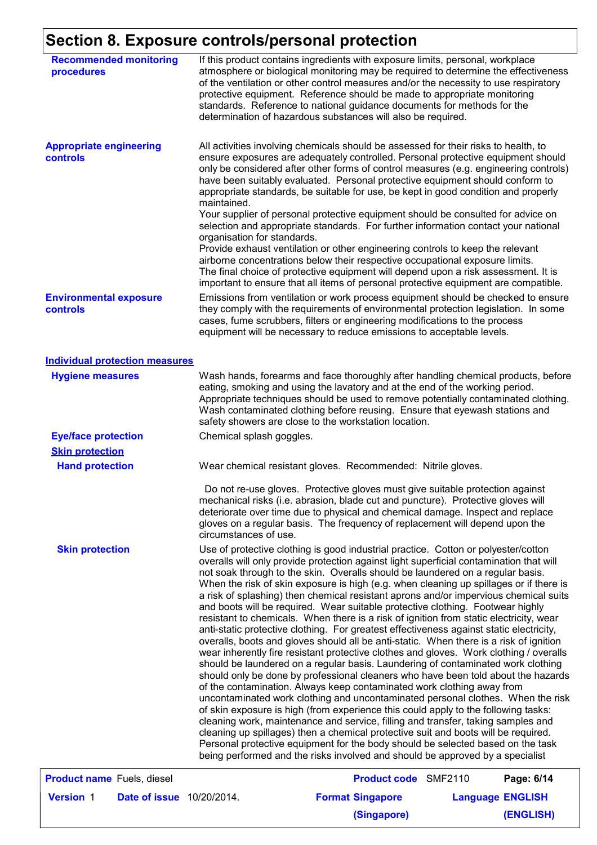# **Section 8. Exposure controls/personal protection**

| <b>Recommended monitoring</b><br>procedures       |                                            | If this product contains ingredients with exposure limits, personal, workplace<br>atmosphere or biological monitoring may be required to determine the effectiveness<br>of the ventilation or other control measures and/or the necessity to use respiratory<br>protective equipment. Reference should be made to appropriate monitoring<br>standards. Reference to national guidance documents for methods for the<br>determination of hazardous substances will also be required.                                                                                                                                                                                                                                                                                                                                                                                                                                                                                                                                                                                                                                                                                                                                                                                                                                                                                                                                                                                                                                                                                                                                                                                                    |                         |
|---------------------------------------------------|--------------------------------------------|----------------------------------------------------------------------------------------------------------------------------------------------------------------------------------------------------------------------------------------------------------------------------------------------------------------------------------------------------------------------------------------------------------------------------------------------------------------------------------------------------------------------------------------------------------------------------------------------------------------------------------------------------------------------------------------------------------------------------------------------------------------------------------------------------------------------------------------------------------------------------------------------------------------------------------------------------------------------------------------------------------------------------------------------------------------------------------------------------------------------------------------------------------------------------------------------------------------------------------------------------------------------------------------------------------------------------------------------------------------------------------------------------------------------------------------------------------------------------------------------------------------------------------------------------------------------------------------------------------------------------------------------------------------------------------------|-------------------------|
| <b>Appropriate engineering</b><br><b>controls</b> | maintained.<br>organisation for standards. | All activities involving chemicals should be assessed for their risks to health, to<br>ensure exposures are adequately controlled. Personal protective equipment should<br>only be considered after other forms of control measures (e.g. engineering controls)<br>have been suitably evaluated. Personal protective equipment should conform to<br>appropriate standards, be suitable for use, be kept in good condition and properly<br>Your supplier of personal protective equipment should be consulted for advice on<br>selection and appropriate standards. For further information contact your national<br>Provide exhaust ventilation or other engineering controls to keep the relevant<br>airborne concentrations below their respective occupational exposure limits.<br>The final choice of protective equipment will depend upon a risk assessment. It is<br>important to ensure that all items of personal protective equipment are compatible.                                                                                                                                                                                                                                                                                                                                                                                                                                                                                                                                                                                                                                                                                                                        |                         |
| <b>Environmental exposure</b><br>controls         |                                            | Emissions from ventilation or work process equipment should be checked to ensure<br>they comply with the requirements of environmental protection legislation. In some<br>cases, fume scrubbers, filters or engineering modifications to the process<br>equipment will be necessary to reduce emissions to acceptable levels.                                                                                                                                                                                                                                                                                                                                                                                                                                                                                                                                                                                                                                                                                                                                                                                                                                                                                                                                                                                                                                                                                                                                                                                                                                                                                                                                                          |                         |
| <b>Individual protection measures</b>             |                                            |                                                                                                                                                                                                                                                                                                                                                                                                                                                                                                                                                                                                                                                                                                                                                                                                                                                                                                                                                                                                                                                                                                                                                                                                                                                                                                                                                                                                                                                                                                                                                                                                                                                                                        |                         |
| <b>Hygiene measures</b>                           |                                            | Wash hands, forearms and face thoroughly after handling chemical products, before<br>eating, smoking and using the lavatory and at the end of the working period.<br>Appropriate techniques should be used to remove potentially contaminated clothing.<br>Wash contaminated clothing before reusing. Ensure that eyewash stations and<br>safety showers are close to the workstation location.                                                                                                                                                                                                                                                                                                                                                                                                                                                                                                                                                                                                                                                                                                                                                                                                                                                                                                                                                                                                                                                                                                                                                                                                                                                                                        |                         |
| <b>Eye/face protection</b>                        | Chemical splash goggles.                   |                                                                                                                                                                                                                                                                                                                                                                                                                                                                                                                                                                                                                                                                                                                                                                                                                                                                                                                                                                                                                                                                                                                                                                                                                                                                                                                                                                                                                                                                                                                                                                                                                                                                                        |                         |
| <b>Skin protection</b>                            |                                            |                                                                                                                                                                                                                                                                                                                                                                                                                                                                                                                                                                                                                                                                                                                                                                                                                                                                                                                                                                                                                                                                                                                                                                                                                                                                                                                                                                                                                                                                                                                                                                                                                                                                                        |                         |
| <b>Hand protection</b>                            |                                            | Wear chemical resistant gloves. Recommended: Nitrile gloves.                                                                                                                                                                                                                                                                                                                                                                                                                                                                                                                                                                                                                                                                                                                                                                                                                                                                                                                                                                                                                                                                                                                                                                                                                                                                                                                                                                                                                                                                                                                                                                                                                           |                         |
|                                                   | circumstances of use.                      | Do not re-use gloves. Protective gloves must give suitable protection against<br>mechanical risks (i.e. abrasion, blade cut and puncture). Protective gloves will<br>deteriorate over time due to physical and chemical damage. Inspect and replace<br>gloves on a regular basis. The frequency of replacement will depend upon the                                                                                                                                                                                                                                                                                                                                                                                                                                                                                                                                                                                                                                                                                                                                                                                                                                                                                                                                                                                                                                                                                                                                                                                                                                                                                                                                                    |                         |
| <b>Skin protection</b>                            |                                            | Use of protective clothing is good industrial practice. Cotton or polyester/cotton<br>overalls will only provide protection against light superficial contamination that will<br>not soak through to the skin. Overalls should be laundered on a regular basis.<br>When the risk of skin exposure is high (e.g. when cleaning up spillages or if there is<br>a risk of splashing) then chemical resistant aprons and/or impervious chemical suits<br>and boots will be required. Wear suitable protective clothing. Footwear highly<br>resistant to chemicals. When there is a risk of ignition from static electricity, wear<br>anti-static protective clothing. For greatest effectiveness against static electricity,<br>overalls, boots and gloves should all be anti-static. When there is a risk of ignition<br>wear inherently fire resistant protective clothes and gloves. Work clothing / overalls<br>should be laundered on a regular basis. Laundering of contaminated work clothing<br>should only be done by professional cleaners who have been told about the hazards<br>of the contamination. Always keep contaminated work clothing away from<br>uncontaminated work clothing and uncontaminated personal clothes. When the risk<br>of skin exposure is high (from experience this could apply to the following tasks:<br>cleaning work, maintenance and service, filling and transfer, taking samples and<br>cleaning up spillages) then a chemical protective suit and boots will be required.<br>Personal protective equipment for the body should be selected based on the task<br>being performed and the risks involved and should be approved by a specialist |                         |
| <b>Product name</b> Fuels, diesel                 |                                            | Product code SMF2110                                                                                                                                                                                                                                                                                                                                                                                                                                                                                                                                                                                                                                                                                                                                                                                                                                                                                                                                                                                                                                                                                                                                                                                                                                                                                                                                                                                                                                                                                                                                                                                                                                                                   | Page: 6/14              |
| <b>Version 1</b>                                  | <b>Date of issue</b> 10/20/2014.           | <b>Format Singapore</b>                                                                                                                                                                                                                                                                                                                                                                                                                                                                                                                                                                                                                                                                                                                                                                                                                                                                                                                                                                                                                                                                                                                                                                                                                                                                                                                                                                                                                                                                                                                                                                                                                                                                | <b>Language ENGLISH</b> |
|                                                   |                                            | (Singapore)                                                                                                                                                                                                                                                                                                                                                                                                                                                                                                                                                                                                                                                                                                                                                                                                                                                                                                                                                                                                                                                                                                                                                                                                                                                                                                                                                                                                                                                                                                                                                                                                                                                                            | (ENGLISH)               |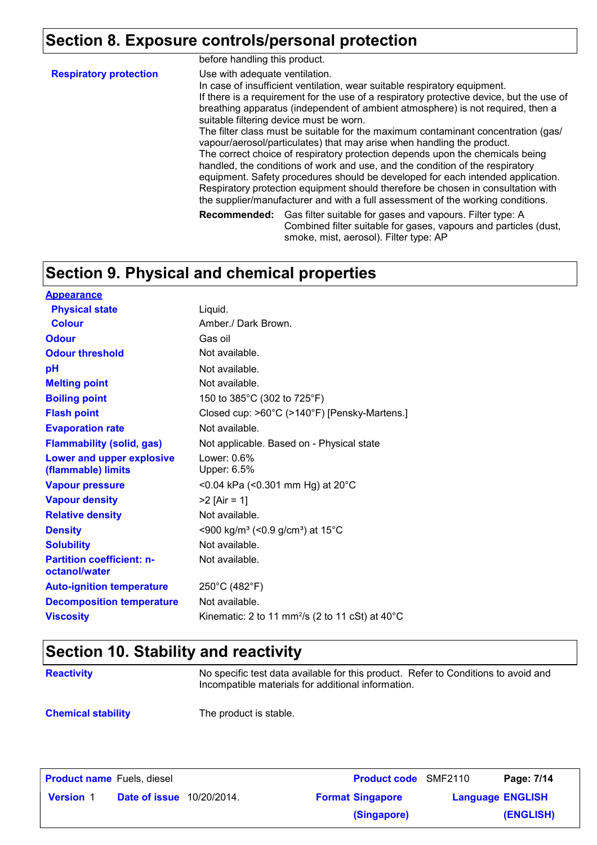### **Section 8. Exposure controls/personal protection**

|                               | before handling this product.  |                                                                                                                                                                                                                                                                                                                                                                                                                                                                                                                                                                                                                                                                                                                                                                                                                                                                                                |
|-------------------------------|--------------------------------|------------------------------------------------------------------------------------------------------------------------------------------------------------------------------------------------------------------------------------------------------------------------------------------------------------------------------------------------------------------------------------------------------------------------------------------------------------------------------------------------------------------------------------------------------------------------------------------------------------------------------------------------------------------------------------------------------------------------------------------------------------------------------------------------------------------------------------------------------------------------------------------------|
| <b>Respiratory protection</b> | Use with adequate ventilation. | In case of insufficient ventilation, wear suitable respiratory equipment.<br>If there is a requirement for the use of a respiratory protective device, but the use of<br>breathing apparatus (independent of ambient atmosphere) is not required, then a<br>suitable filtering device must be worn.<br>The filter class must be suitable for the maximum contaminant concentration (gas/<br>vapour/aerosol/particulates) that may arise when handling the product.<br>The correct choice of respiratory protection depends upon the chemicals being<br>handled, the conditions of work and use, and the condition of the respiratory<br>equipment. Safety procedures should be developed for each intended application.<br>Respiratory protection equipment should therefore be chosen in consultation with<br>the supplier/manufacturer and with a full assessment of the working conditions. |
|                               |                                | <b>Recommended:</b> Gas filter suitable for gases and vapours. Filter type: A<br>Combined filter suitable for gases, vapours and particles (dust,<br>smoke, mist, aerosol). Filter type: AP                                                                                                                                                                                                                                                                                                                                                                                                                                                                                                                                                                                                                                                                                                    |

### **Section 9. Physical and chemical properties**

| <b>Appearance</b>                                 |                                                                       |
|---------------------------------------------------|-----------------------------------------------------------------------|
| <b>Physical state</b>                             | Liquid.                                                               |
| <b>Colour</b>                                     | Amber./ Dark Brown.                                                   |
| <b>Odour</b>                                      | Gas oil                                                               |
| <b>Odour threshold</b>                            | Not available.                                                        |
| рH                                                | Not available.                                                        |
| <b>Melting point</b>                              | Not available.                                                        |
| <b>Boiling point</b>                              | 150 to 385°C (302 to 725°F)                                           |
| <b>Flash point</b>                                | Closed cup: >60°C (>140°F) [Pensky-Martens.]                          |
| <b>Evaporation rate</b>                           | Not available.                                                        |
| <b>Flammability (solid, gas)</b>                  | Not applicable. Based on - Physical state                             |
| Lower and upper explosive<br>(flammable) limits   | Lower: $0.6\%$<br>Upper: 6.5%                                         |
| <b>Vapour pressure</b>                            | <0.04 kPa (<0.301 mm Hg) at $20^{\circ}$ C                            |
| <b>Vapour density</b>                             | $>2$ [Air = 1]                                                        |
| <b>Relative density</b>                           | Not available.                                                        |
| <b>Density</b>                                    | <900 kg/m <sup>3</sup> (<0.9 g/cm <sup>3</sup> ) at 15 <sup>°</sup> C |
| <b>Solubility</b>                                 | Not available.                                                        |
| <b>Partition coefficient: n-</b><br>octanol/water | Not available.                                                        |
| <b>Auto-ignition temperature</b>                  | 250°C (482°F)                                                         |
| <b>Decomposition temperature</b>                  | Not available.                                                        |
| <b>Viscosity</b>                                  | Kinematic: 2 to 11 mm <sup>2</sup> /s (2 to 11 cSt) at $40^{\circ}$ C |

### **Section 10. Stability and reactivity**

No specific test data available for this product. Refer to Conditions to avoid and Incompatible materials for additional information.

**Chemical stability** The product is stable.

| <b>Product name</b> Fuels, diesel |               |             | <b>Product code</b> SMF2110 | Page: 7/14              |
|-----------------------------------|---------------|-------------|-----------------------------|-------------------------|
| <b>Version 1</b>                  | Date of issue | 10/20/2014. | <b>Format Singapore</b>     | <b>Language ENGLISH</b> |
|                                   |               |             | (Singapore)                 | (ENGLISH)               |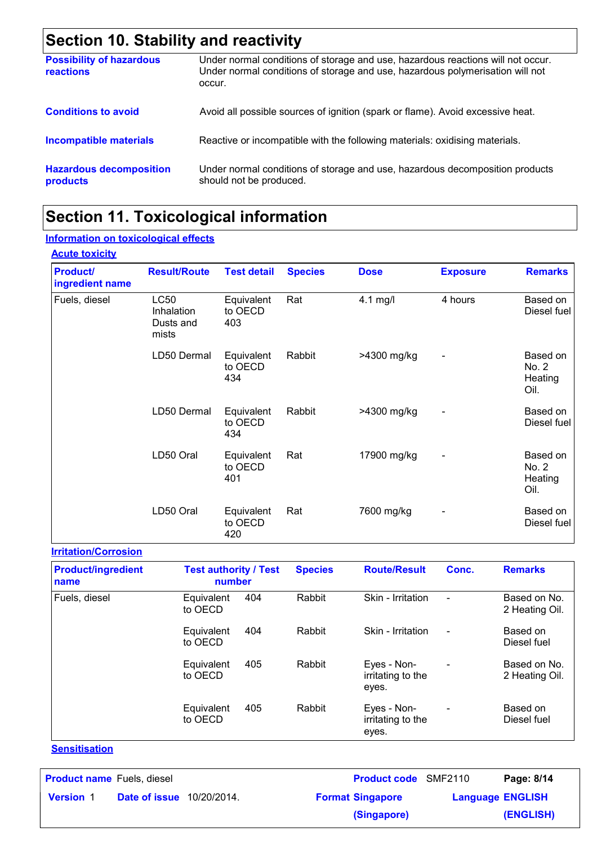# **Section 10. Stability and reactivity**

| <b>Possibility of hazardous</b><br><b>reactions</b> | Under normal conditions of storage and use, hazardous reactions will not occur.<br>Under normal conditions of storage and use, hazardous polymerisation will not<br>occur. |
|-----------------------------------------------------|----------------------------------------------------------------------------------------------------------------------------------------------------------------------------|
| <b>Conditions to avoid</b>                          | Avoid all possible sources of ignition (spark or flame). Avoid excessive heat.                                                                                             |
| <b>Incompatible materials</b>                       | Reactive or incompatible with the following materials: oxidising materials.                                                                                                |
| <b>Hazardous decomposition</b><br>products          | Under normal conditions of storage and use, hazardous decomposition products<br>should not be produced.                                                                    |

### **Section 11. Toxicological information**

#### **Information on toxicological effects**

| <b>Acute toxicity</b>              |                                                 |                              |                |             |                          |                                      |
|------------------------------------|-------------------------------------------------|------------------------------|----------------|-------------|--------------------------|--------------------------------------|
| <b>Product/</b><br>ingredient name | <b>Result/Route</b>                             | <b>Test detail</b>           | <b>Species</b> | <b>Dose</b> | <b>Exposure</b>          | <b>Remarks</b>                       |
| Fuels, diesel                      | <b>LC50</b><br>Inhalation<br>Dusts and<br>mists | Equivalent<br>to OECD<br>403 | Rat            | 4.1 mg/l    | 4 hours                  | Based on<br>Diesel fuel              |
|                                    | LD50 Dermal                                     | Equivalent<br>to OECD<br>434 | Rabbit         | >4300 mg/kg | $\overline{a}$           | Based on<br>No. 2<br>Heating<br>Oil. |
|                                    | LD50 Dermal                                     | Equivalent<br>to OECD<br>434 | Rabbit         | >4300 mg/kg | $\overline{\phantom{a}}$ | Based on<br>Diesel fuel              |
|                                    | LD50 Oral                                       | Equivalent<br>to OECD<br>401 | Rat            | 17900 mg/kg | $\overline{\phantom{a}}$ | Based on<br>No. 2<br>Heating<br>Oil. |
|                                    | LD50 Oral                                       | Equivalent<br>to OECD<br>420 | Rat            | 7600 mg/kg  | $\overline{\phantom{0}}$ | Based on<br>Diesel fuel              |

#### **Irritation/Corrosion**

| <b>Product/ingredient</b><br>name | <b>Test authority / Test</b><br>number | <b>Species</b> | <b>Route/Result</b>                       | Conc.                    | <b>Remarks</b>                 |
|-----------------------------------|----------------------------------------|----------------|-------------------------------------------|--------------------------|--------------------------------|
| Fuels, diesel                     | 404<br>Equivalent<br>to OECD           | Rabbit         | Skin - Irritation                         | $\overline{\phantom{a}}$ | Based on No.<br>2 Heating Oil. |
|                                   | 404<br>Equivalent<br>to OECD           | Rabbit         | Skin - Irritation                         | $\blacksquare$           | Based on<br>Diesel fuel        |
|                                   | 405<br>Equivalent<br>to OECD           | Rabbit         | Eyes - Non-<br>irritating to the<br>eyes. | $\blacksquare$           | Based on No.<br>2 Heating Oil. |
|                                   | 405<br>Equivalent<br>to OECD           | Rabbit         | Eyes - Non-<br>irritating to the<br>eyes. | $\overline{\phantom{a}}$ | Based on<br>Diesel fuel        |

#### **Sensitisation**

| <b>Product name</b> Fuels, diesel |                                  | <b>Product code</b> SMF2110 |                         | Page: 8/14 |
|-----------------------------------|----------------------------------|-----------------------------|-------------------------|------------|
| <b>Version 1</b>                  | <b>Date of issue</b> 10/20/2014. | <b>Format Singapore</b>     | <b>Language ENGLISH</b> |            |
|                                   |                                  | (Singapore)                 |                         | (ENGLISH)  |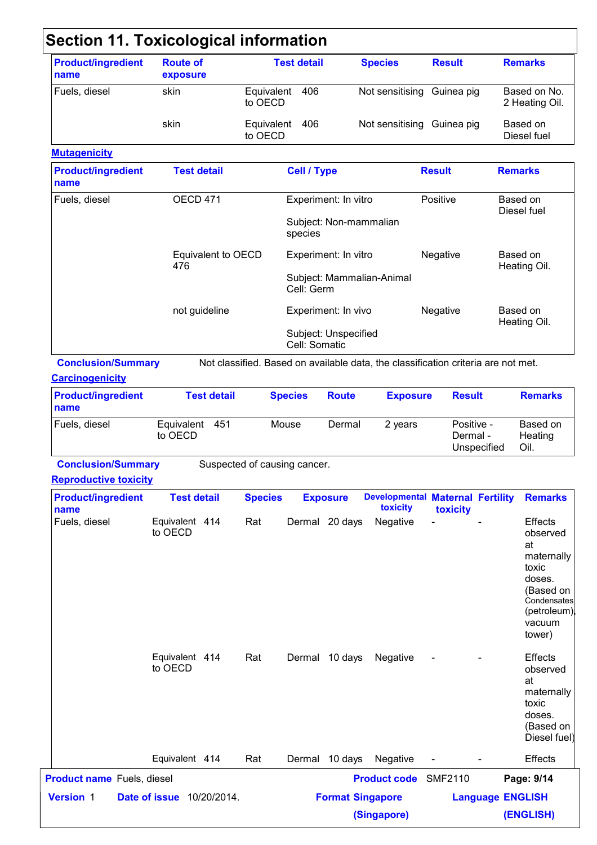| name                                                              | <b>Route of</b><br>exposure      |                              |                       | <b>Test detail</b> |                                                | <b>Species</b>                                                                    | <b>Result</b>  |                                       |                | <b>Remarks</b>                                                                                              |
|-------------------------------------------------------------------|----------------------------------|------------------------------|-----------------------|--------------------|------------------------------------------------|-----------------------------------------------------------------------------------|----------------|---------------------------------------|----------------|-------------------------------------------------------------------------------------------------------------|
| Fuels, diesel                                                     | skin                             |                              | Equivalent<br>to OECD | 406                |                                                | Not sensitising                                                                   |                | Guinea pig                            |                | Based on No.<br>2 Heating Oil.                                                                              |
|                                                                   | skin                             |                              | Equivalent<br>to OECD | 406                |                                                | Not sensitising Guinea pig                                                        |                |                                       |                | Based on<br>Diesel fuel                                                                                     |
| <b>Mutagenicity</b>                                               |                                  |                              |                       |                    |                                                |                                                                                   |                |                                       |                |                                                                                                             |
| <b>Product/ingredient</b><br>name                                 | <b>Test detail</b>               |                              |                       | <b>Cell / Type</b> |                                                |                                                                                   | <b>Result</b>  |                                       | <b>Remarks</b> |                                                                                                             |
| Fuels, diesel                                                     | OECD 471                         |                              |                       |                    | Experiment: In vitro<br>Subject: Non-mammalian |                                                                                   | Positive       |                                       | Based on       | Diesel fuel                                                                                                 |
|                                                                   |                                  |                              |                       | species            |                                                |                                                                                   |                |                                       |                |                                                                                                             |
|                                                                   | Equivalent to OECD<br>476        |                              |                       |                    | Experiment: In vitro                           |                                                                                   | Negative       |                                       | Based on       | Heating Oil.                                                                                                |
|                                                                   |                                  |                              |                       | Cell: Germ         |                                                | Subject: Mammalian-Animal                                                         |                |                                       |                |                                                                                                             |
|                                                                   | not guideline                    |                              |                       |                    | Experiment: In vivo                            |                                                                                   | Negative       |                                       | Based on       | Heating Oil.                                                                                                |
|                                                                   |                                  |                              |                       | Cell: Somatic      | Subject: Unspecified                           |                                                                                   |                |                                       |                |                                                                                                             |
| <b>Conclusion/Summary</b><br><b>Carcinogenicity</b>               |                                  |                              |                       |                    |                                                | Not classified. Based on available data, the classification criteria are not met. |                |                                       |                |                                                                                                             |
| <b>Product/ingredient</b><br>name                                 | <b>Test detail</b>               |                              |                       | <b>Species</b>     | <b>Route</b>                                   | <b>Exposure</b>                                                                   |                | <b>Result</b>                         |                | <b>Remarks</b>                                                                                              |
| Fuels, diesel                                                     | Equivalent 451<br>to OECD        |                              | Mouse                 |                    | Dermal                                         | 2 years                                                                           |                | Positive -<br>Dermal -<br>Unspecified |                | Based on<br>Heating<br>Oil.                                                                                 |
|                                                                   |                                  |                              |                       |                    |                                                |                                                                                   |                |                                       |                |                                                                                                             |
| <b>Conclusion/Summary</b>                                         |                                  | Suspected of causing cancer. |                       |                    |                                                |                                                                                   |                |                                       |                |                                                                                                             |
|                                                                   |                                  |                              |                       |                    |                                                |                                                                                   |                |                                       |                |                                                                                                             |
| <b>Reproductive toxicity</b><br><b>Product/ingredient</b><br>name | <b>Test detail</b>               |                              | <b>Species</b>        |                    | <b>Exposure</b>                                | <b>Developmental Maternal Fertility</b><br>toxicity                               | toxicity       |                                       |                | <b>Remarks</b>                                                                                              |
| Fuels, diesel                                                     | Equivalent 414<br>to OECD        | Rat                          |                       |                    | Dermal 20 days                                 | Negative                                                                          |                |                                       |                | Effects<br>observed<br>at<br>toxic<br>doses.<br>vacuum<br>tower)                                            |
|                                                                   | Equivalent 414<br>to OECD        | Rat                          |                       |                    | Dermal 10 days                                 | Negative                                                                          |                |                                       |                | Effects<br>observed<br>at<br>toxic<br>doses.                                                                |
|                                                                   | Equivalent 414                   | Rat                          |                       |                    | Dermal 10 days                                 | Negative                                                                          |                |                                       |                | maternally<br>(Based on<br>Condensates<br>(petroleum)<br>maternally<br>(Based on<br>Diesel fuel)<br>Effects |
| <b>Product name</b> Fuels, diesel                                 |                                  |                              |                       |                    |                                                | <b>Product code</b>                                                               | <b>SMF2110</b> |                                       |                | Page: 9/14                                                                                                  |
| <b>Version 1</b>                                                  | <b>Date of issue</b> 10/20/2014. |                              |                       |                    |                                                | <b>Format Singapore</b>                                                           |                | <b>Language ENGLISH</b>               |                |                                                                                                             |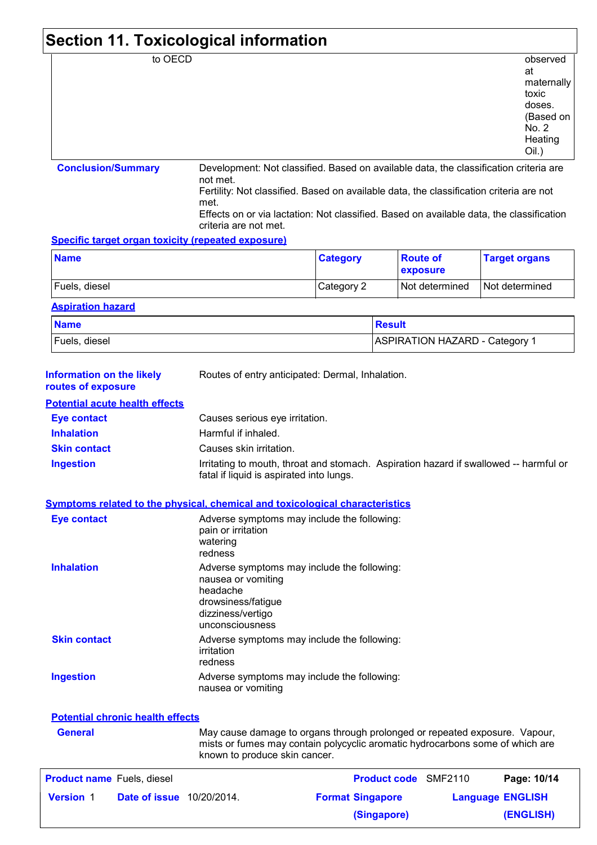| to OECD                                                                      |                                                                                                                          |                                                                                                                                   |                                                                                                                                                                                                                                                                              | observed                                                                         |  |
|------------------------------------------------------------------------------|--------------------------------------------------------------------------------------------------------------------------|-----------------------------------------------------------------------------------------------------------------------------------|------------------------------------------------------------------------------------------------------------------------------------------------------------------------------------------------------------------------------------------------------------------------------|----------------------------------------------------------------------------------|--|
|                                                                              |                                                                                                                          |                                                                                                                                   |                                                                                                                                                                                                                                                                              | at<br>maternally<br>toxic<br>doses.<br>(Based on<br>No. 2<br>Heating<br>$Oil.$ ) |  |
| <b>Conclusion/Summary</b>                                                    | not met.<br>met.                                                                                                         |                                                                                                                                   | Development: Not classified. Based on available data, the classification criteria are<br>Fertility: Not classified. Based on available data, the classification criteria are not<br>Effects on or via lactation: Not classified. Based on available data, the classification |                                                                                  |  |
| <b>Specific target organ toxicity (repeated exposure)</b>                    | criteria are not met.                                                                                                    |                                                                                                                                   |                                                                                                                                                                                                                                                                              |                                                                                  |  |
| <b>Name</b>                                                                  |                                                                                                                          | <b>Category</b>                                                                                                                   | <b>Route of</b><br>exposure                                                                                                                                                                                                                                                  | <b>Target organs</b>                                                             |  |
| Fuels, diesel                                                                |                                                                                                                          | Category 2                                                                                                                        | Not determined                                                                                                                                                                                                                                                               | Not determined                                                                   |  |
| <b>Aspiration hazard</b>                                                     |                                                                                                                          |                                                                                                                                   |                                                                                                                                                                                                                                                                              |                                                                                  |  |
| <b>Name</b>                                                                  |                                                                                                                          |                                                                                                                                   | <b>Result</b>                                                                                                                                                                                                                                                                |                                                                                  |  |
| Fuels, diesel                                                                |                                                                                                                          |                                                                                                                                   | <b>ASPIRATION HAZARD - Category 1</b>                                                                                                                                                                                                                                        |                                                                                  |  |
| <b>Information on the likely</b><br>routes of exposure                       | Routes of entry anticipated: Dermal, Inhalation.                                                                         |                                                                                                                                   |                                                                                                                                                                                                                                                                              |                                                                                  |  |
| <b>Potential acute health effects</b>                                        |                                                                                                                          |                                                                                                                                   |                                                                                                                                                                                                                                                                              |                                                                                  |  |
| <b>Eye contact</b>                                                           | Causes serious eye irritation.                                                                                           |                                                                                                                                   |                                                                                                                                                                                                                                                                              |                                                                                  |  |
| <b>Inhalation</b>                                                            | Harmful if inhaled.                                                                                                      |                                                                                                                                   |                                                                                                                                                                                                                                                                              |                                                                                  |  |
| <b>Skin contact</b>                                                          | Causes skin irritation.                                                                                                  |                                                                                                                                   |                                                                                                                                                                                                                                                                              |                                                                                  |  |
| <b>Ingestion</b>                                                             |                                                                                                                          | Irritating to mouth, throat and stomach. Aspiration hazard if swallowed -- harmful or<br>fatal if liquid is aspirated into lungs. |                                                                                                                                                                                                                                                                              |                                                                                  |  |
| Symptoms related to the physical, chemical and toxicological characteristics |                                                                                                                          |                                                                                                                                   |                                                                                                                                                                                                                                                                              |                                                                                  |  |
| <b>Eye contact</b>                                                           | Adverse symptoms may include the following:<br>pain or irritation<br>watering<br>redness                                 |                                                                                                                                   |                                                                                                                                                                                                                                                                              |                                                                                  |  |
| <b>Inhalation</b>                                                            | Adverse symptoms may include the following:<br>nausea or vomiting<br>headache<br>drowsiness/fatigue<br>dizziness/vertigo |                                                                                                                                   |                                                                                                                                                                                                                                                                              |                                                                                  |  |

|                     | dizziness/vertigo<br>unconsciousness                                 |
|---------------------|----------------------------------------------------------------------|
| <b>Skin contact</b> | Adverse symptoms may include the following:<br>irritation<br>redness |
| <b>Ingestion</b>    | Adverse symptoms may include the following:<br>nausea or vomiting    |

| <b>Potential chronic health effects</b> |  |  |
|-----------------------------------------|--|--|
|                                         |  |  |

**General**

May cause damage to organs through prolonged or repeated exposure. Vapour, mists or fumes may contain polycyclic aromatic hydrocarbons some of which are known to produce skin cancer.

| <b>Product name</b> Fuels, diesel                    | <b>Product code</b> SMF2110 | Page: 10/14             |
|------------------------------------------------------|-----------------------------|-------------------------|
| <b>Date of issue</b> 10/20/2014.<br><b>Version 1</b> | <b>Format Singapore</b>     | <b>Language ENGLISH</b> |
|                                                      | (Singapore)                 | (ENGLISH)               |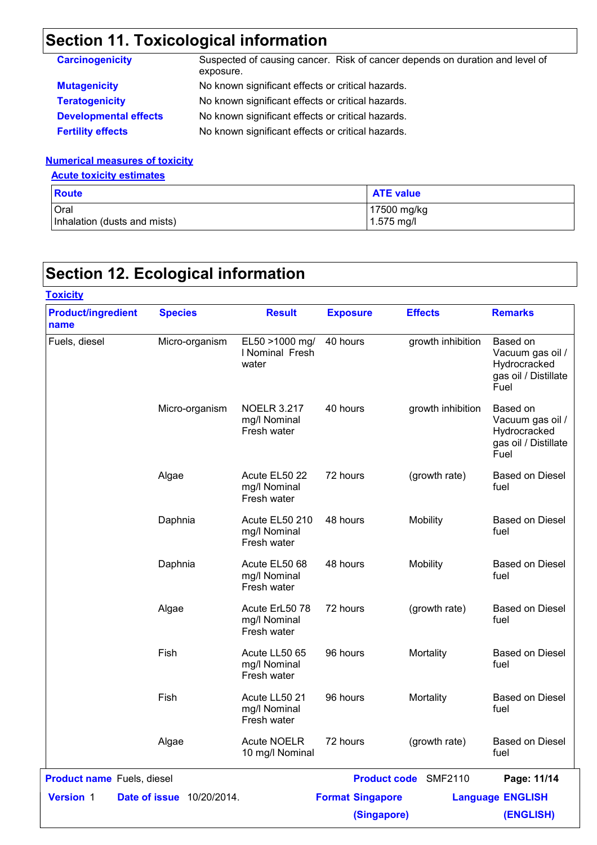# **Section 11. Toxicological information**

| <b>Carcinogenicity</b>       | Suspected of causing cancer. Risk of cancer depends on duration and level of<br>exposure. |
|------------------------------|-------------------------------------------------------------------------------------------|
| <b>Mutagenicity</b>          | No known significant effects or critical hazards.                                         |
| <b>Teratogenicity</b>        | No known significant effects or critical hazards.                                         |
| <b>Developmental effects</b> | No known significant effects or critical hazards.                                         |
| <b>Fertility effects</b>     | No known significant effects or critical hazards.                                         |

#### **Numerical measures of toxicity**

#### **Acute toxicity estimates**

| <b>Route</b>                 | <b>ATE value</b> |
|------------------------------|------------------|
| <b>Oral</b>                  | 17500 mg/kg      |
| Inhalation (dusts and mists) | $1.575$ mg/l     |

# **Section 12. Ecological information**

| <b>Toxicity</b>                   |                                  |                                                   |                         |                             |                                                                              |
|-----------------------------------|----------------------------------|---------------------------------------------------|-------------------------|-----------------------------|------------------------------------------------------------------------------|
| <b>Product/ingredient</b><br>name | <b>Species</b>                   | <b>Result</b>                                     | <b>Exposure</b>         | <b>Effects</b>              | <b>Remarks</b>                                                               |
| Fuels, diesel                     | Micro-organism                   | EL50 >1000 mg/<br>I Nominal Fresh<br>water        | 40 hours                | growth inhibition           | Based on<br>Vacuum gas oil /<br>Hydrocracked<br>gas oil / Distillate<br>Fuel |
|                                   | Micro-organism                   | <b>NOELR 3.217</b><br>mg/l Nominal<br>Fresh water | 40 hours                | growth inhibition           | Based on<br>Vacuum gas oil /<br>Hydrocracked<br>gas oil / Distillate<br>Fuel |
|                                   | Algae                            | Acute EL50 22<br>mg/l Nominal<br>Fresh water      | 72 hours                | (growth rate)               | <b>Based on Diesel</b><br>fuel                                               |
|                                   | Daphnia                          | Acute EL50 210<br>mg/l Nominal<br>Fresh water     | 48 hours                | Mobility                    | <b>Based on Diesel</b><br>fuel                                               |
|                                   | Daphnia                          | Acute EL50 68<br>mg/l Nominal<br>Fresh water      | 48 hours                | Mobility                    | <b>Based on Diesel</b><br>fuel                                               |
|                                   | Algae                            | Acute ErL50 78<br>mg/l Nominal<br>Fresh water     | 72 hours                | (growth rate)               | <b>Based on Diesel</b><br>fuel                                               |
|                                   | Fish                             | Acute LL50 65<br>mg/l Nominal<br>Fresh water      | 96 hours                | Mortality                   | <b>Based on Diesel</b><br>fuel                                               |
|                                   | Fish                             | Acute LL50 21<br>mg/l Nominal<br>Fresh water      | 96 hours                | Mortality                   | <b>Based on Diesel</b><br>fuel                                               |
|                                   | Algae                            | <b>Acute NOELR</b><br>10 mg/l Nominal             | 72 hours                | (growth rate)               | <b>Based on Diesel</b><br>fuel                                               |
| <b>Product name</b> Fuels, diesel |                                  |                                                   |                         | <b>Product code</b> SMF2110 | Page: 11/14                                                                  |
| Version 1                         | <b>Date of issue</b> 10/20/2014. |                                                   | <b>Format Singapore</b> |                             | <b>Language ENGLISH</b>                                                      |
|                                   |                                  |                                                   | (Singapore)             |                             | (ENGLISH)                                                                    |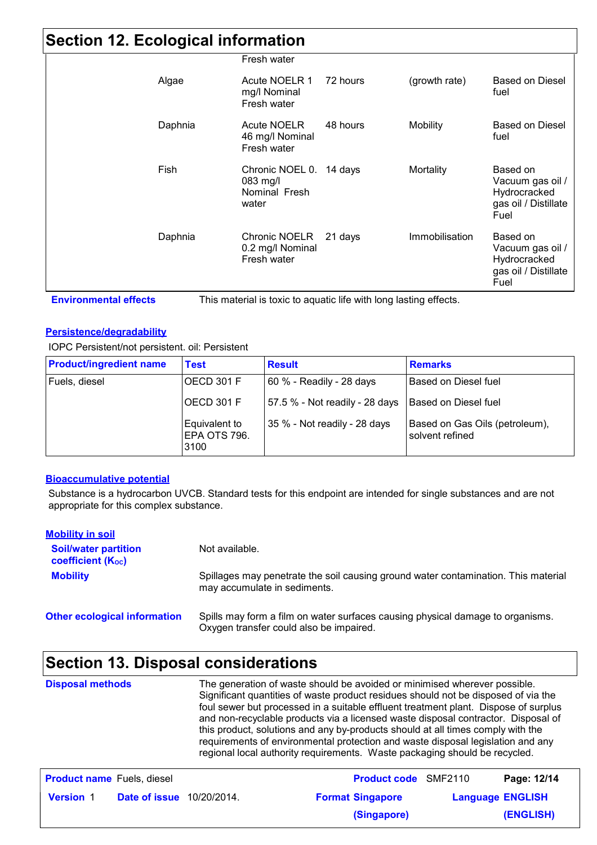#### **Section 12. Ecological information**

| ັ       |                                                                 |          |                 |                                                                              |
|---------|-----------------------------------------------------------------|----------|-----------------|------------------------------------------------------------------------------|
|         | Fresh water                                                     |          |                 |                                                                              |
| Algae   | Acute NOELR 1<br>mg/l Nominal<br>Fresh water                    | 72 hours | (growth rate)   | Based on Diesel<br>fuel                                                      |
| Daphnia | <b>Acute NOELR</b><br>46 mg/l Nominal<br>Fresh water            | 48 hours | <b>Mobility</b> | Based on Diesel<br>fuel                                                      |
| Fish    | Chronic NOEL 0. 14 days<br>$083$ mg/l<br>Nominal Fresh<br>water |          | Mortality       | Based on<br>Vacuum gas oil /<br>Hydrocracked<br>gas oil / Distillate<br>Fuel |
| Daphnia | Chronic NOELR<br>0.2 mg/l Nominal<br>Fresh water                | 21 days  | Immobilisation  | Based on<br>Vacuum gas oil /<br>Hydrocracked<br>gas oil / Distillate<br>Fuel |

**Persistence/degradability**

IOPC Persistent/not persistent. oil: Persistent

| <b>Product/ingredient name</b> | <b>Test</b>                            | <b>Result</b>                  | <b>Remarks</b>                                    |
|--------------------------------|----------------------------------------|--------------------------------|---------------------------------------------------|
| Fuels, diesel                  | OECD 301 F                             | 60 % - Readily - 28 days       | l Based on Diesel fuel                            |
|                                | $\vert$ OECD 301 F                     | 57.5 % - Not readily - 28 days | Based on Diesel fuel                              |
|                                | Equivalent to<br>IEPA OTS 796.<br>3100 | 35 % - Not readily - 28 days   | Based on Gas Oils (petroleum),<br>solvent refined |

#### **Bioaccumulative potential**

Substance is a hydrocarbon UVCB. Standard tests for this endpoint are intended for single substances and are not appropriate for this complex substance.

| <b>Mobility in soil</b>                                 |                                                                                                                           |
|---------------------------------------------------------|---------------------------------------------------------------------------------------------------------------------------|
| <b>Soil/water partition</b><br><b>coefficient (Koc)</b> | Not available.                                                                                                            |
| <b>Mobility</b>                                         | Spillages may penetrate the soil causing ground water contamination. This material<br>may accumulate in sediments.        |
| <b>Other ecological information</b>                     | Spills may form a film on water surfaces causing physical damage to organisms.<br>Oxygen transfer could also be impaired. |

## **Section 13. Disposal considerations**

| <b>Disposal methods</b> | The generation of waste should be avoided or minimised wherever possible.<br>Significant quantities of waste product residues should not be disposed of via the<br>foul sewer but processed in a suitable effluent treatment plant. Dispose of surplus<br>and non-recyclable products via a licensed waste disposal contractor. Disposal of<br>this product, solutions and any by-products should at all times comply with the<br>requirements of environmental protection and waste disposal legislation and any<br>regional local authority requirements. Waste packaging should be recycled. |
|-------------------------|-------------------------------------------------------------------------------------------------------------------------------------------------------------------------------------------------------------------------------------------------------------------------------------------------------------------------------------------------------------------------------------------------------------------------------------------------------------------------------------------------------------------------------------------------------------------------------------------------|
|                         |                                                                                                                                                                                                                                                                                                                                                                                                                                                                                                                                                                                                 |

| <b>Product name</b> Fuels, diesel |                                  | <b>Product code</b> SMF2110 | Page: 12/14             |
|-----------------------------------|----------------------------------|-----------------------------|-------------------------|
| <b>Version 1</b>                  | <b>Date of issue</b> 10/20/2014. | <b>Format Singapore</b>     | <b>Language ENGLISH</b> |
|                                   |                                  | (Singapore)                 | (ENGLISH)               |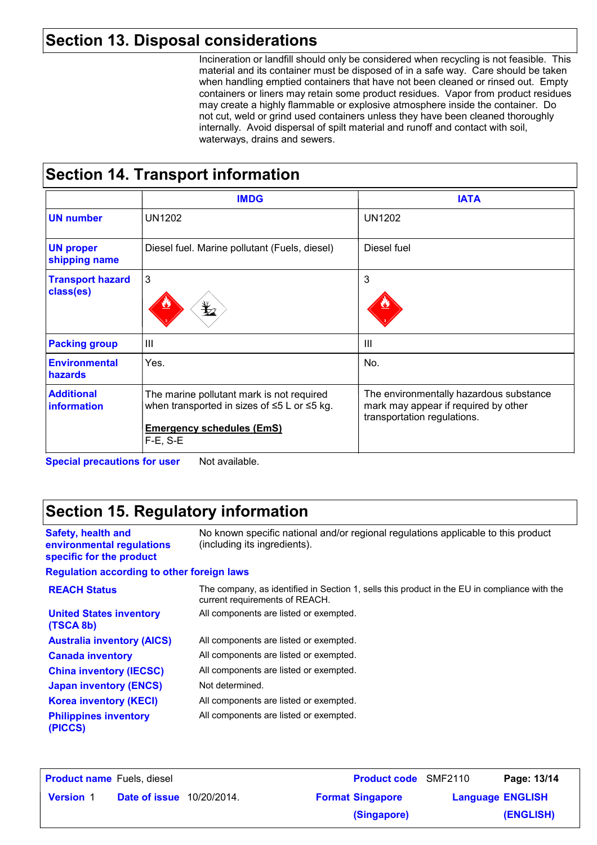#### **Section 13. Disposal considerations**

Incineration or landfill should only be considered when recycling is not feasible. This material and its container must be disposed of in a safe way. Care should be taken when handling emptied containers that have not been cleaned or rinsed out. Empty containers or liners may retain some product residues. Vapor from product residues may create a highly flammable or explosive atmosphere inside the container. Do not cut, weld or grind used containers unless they have been cleaned thoroughly internally. Avoid dispersal of spilt material and runoff and contact with soil, waterways, drains and sewers.

### **Section 14. Transport information**

|                                        | <b>IMDG</b>                                                                                                                                               | <b>IATA</b>                                                                                                    |
|----------------------------------------|-----------------------------------------------------------------------------------------------------------------------------------------------------------|----------------------------------------------------------------------------------------------------------------|
| <b>UN number</b>                       | <b>UN1202</b>                                                                                                                                             | <b>UN1202</b>                                                                                                  |
| <b>UN proper</b><br>shipping name      | Diesel fuel. Marine pollutant (Fuels, diesel)                                                                                                             | Diesel fuel                                                                                                    |
| <b>Transport hazard</b><br>class(es)   | 3                                                                                                                                                         | 3                                                                                                              |
| <b>Packing group</b>                   | III                                                                                                                                                       | III                                                                                                            |
| <b>Environmental</b><br><b>hazards</b> | Yes.                                                                                                                                                      | No.                                                                                                            |
| <b>Additional</b><br>information       | The marine pollutant mark is not required<br>when transported in sizes of $\leq$ 5 L or $\leq$ 5 kg.<br><b>Emergency schedules (EmS)</b><br>$F-E$ , $S-E$ | The environmentally hazardous substance<br>mark may appear if required by other<br>transportation regulations. |

**Special precautions for user** Not available.

**Safety, health and** 

**environmental regulations specific for the product**

### **Section 15. Regulatory information**

No known specific national and/or regional regulations applicable to this product (including its ingredients).

#### **Regulation according to other foreign laws**

| <b>REACH Status</b>                         | The company, as identified in Section 1, sells this product in the EU in compliance with the<br>current requirements of REACH. |
|---------------------------------------------|--------------------------------------------------------------------------------------------------------------------------------|
| <b>United States inventory</b><br>(TSCA 8b) | All components are listed or exempted.                                                                                         |
| <b>Australia inventory (AICS)</b>           | All components are listed or exempted.                                                                                         |
| <b>Canada inventory</b>                     | All components are listed or exempted.                                                                                         |
| <b>China inventory (IECSC)</b>              | All components are listed or exempted.                                                                                         |
| <b>Japan inventory (ENCS)</b>               | Not determined.                                                                                                                |
| <b>Korea inventory (KECI)</b>               | All components are listed or exempted.                                                                                         |
| <b>Philippines inventory</b><br>(PICCS)     | All components are listed or exempted.                                                                                         |

| <b>Product name</b> Fuels, diesel |                  |               | <b>Product code</b> SMF2110 |                         | Page: 13/14             |           |
|-----------------------------------|------------------|---------------|-----------------------------|-------------------------|-------------------------|-----------|
|                                   | <b>Version 1</b> | Date of issue | 10/20/2014.                 | <b>Format Singapore</b> | <b>Language ENGLISH</b> |           |
|                                   |                  |               |                             | (Singapore)             |                         | (ENGLISH) |